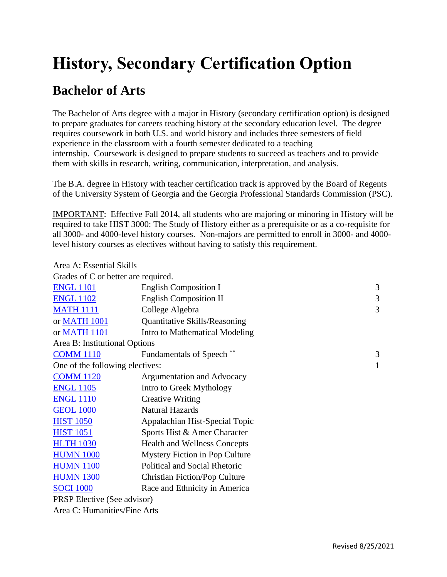## **History, Secondary Certification Option**

## **Bachelor of Arts**

The Bachelor of Arts degree with a major in History (secondary certification option) is designed to prepare graduates for careers teaching history at the secondary education level. The degree requires coursework in both U.S. and world history and includes three semesters of field experience in the classroom with a fourth semester dedicated to a teaching internship. Coursework is designed to prepare students to succeed as teachers and to provide them with skills in research, writing, communication, interpretation, and analysis.

The B.A. degree in History with teacher certification track is approved by the Board of Regents of the University System of Georgia and the Georgia Professional Standards Commission (PSC).

IMPORTANT: Effective Fall 2014, all students who are majoring or minoring in History will be required to take HIST 3000: The Study of History either as a prerequisite or as a co-requisite for all 3000- and 4000-level history courses. Non-majors are permitted to enroll in 3000- and 4000 level history courses as electives without having to satisfy this requirement.

Area A: Essential Skills

| Grades of C or better are required. |                                      |   |  |
|-------------------------------------|--------------------------------------|---|--|
| <b>ENGL 1101</b>                    | <b>English Composition I</b>         | 3 |  |
| <b>ENGL 1102</b>                    | <b>English Composition II</b>        | 3 |  |
| <b>MATH 1111</b>                    | College Algebra                      | 3 |  |
| or MATH 1001                        | <b>Quantitative Skills/Reasoning</b> |   |  |
| or MATH 1101                        | Intro to Mathematical Modeling       |   |  |
| Area B: Institutional Options       |                                      |   |  |
| <b>COMM 1110</b>                    | <b>Fundamentals of Speech</b>        | 3 |  |
| One of the following electives:     |                                      | 1 |  |
| <b>COMM 1120</b>                    | Argumentation and Advocacy           |   |  |
| <b>ENGL 1105</b>                    | Intro to Greek Mythology             |   |  |
| <b>ENGL 1110</b>                    | <b>Creative Writing</b>              |   |  |
| <b>GEOL 1000</b>                    | <b>Natural Hazards</b>               |   |  |
| <b>HIST 1050</b>                    | Appalachian Hist-Special Topic       |   |  |
| <b>HIST 1051</b>                    | Sports Hist & Amer Character         |   |  |
| <b>HLTH 1030</b>                    | <b>Health and Wellness Concepts</b>  |   |  |
| <b>HUMN 1000</b>                    | Mystery Fiction in Pop Culture       |   |  |
| <b>HUMN 1100</b>                    | Political and Social Rhetoric        |   |  |
| <b>HUMN 1300</b>                    | <b>Christian Fiction/Pop Culture</b> |   |  |
| <b>SOCI 1000</b>                    | Race and Ethnicity in America        |   |  |
| <b>PRSP</b> Elective (See advisor)  |                                      |   |  |
| Area C: Humanities/Fine Arts        |                                      |   |  |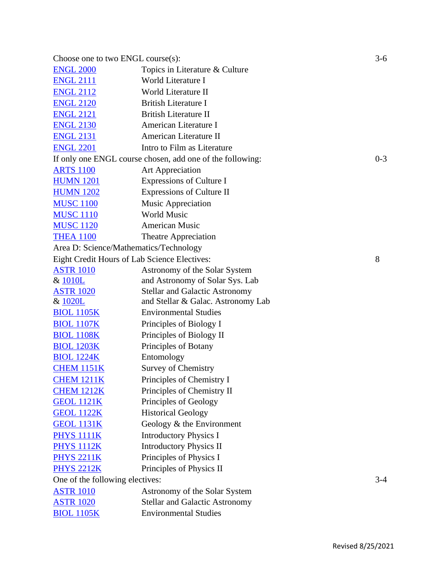| Choose one to two $ENGL$ course $(s)$ :      |                                                           | $3-6$   |
|----------------------------------------------|-----------------------------------------------------------|---------|
| <b>ENGL 2000</b>                             | Topics in Literature & Culture                            |         |
| <b>ENGL 2111</b>                             | World Literature I                                        |         |
| <b>ENGL 2112</b>                             | World Literature II                                       |         |
| <b>ENGL 2120</b>                             | <b>British Literature I</b>                               |         |
| <b>ENGL 2121</b>                             | <b>British Literature II</b>                              |         |
| <b>ENGL 2130</b>                             | American Literature I                                     |         |
| <b>ENGL 2131</b>                             | American Literature II                                    |         |
| <b>ENGL 2201</b>                             | Intro to Film as Literature                               |         |
|                                              | If only one ENGL course chosen, add one of the following: | $0 - 3$ |
| <b>ARTS 1100</b>                             | Art Appreciation                                          |         |
| <b>HUMN 1201</b>                             | Expressions of Culture I                                  |         |
| <b>HUMN 1202</b>                             | Expressions of Culture II                                 |         |
| <b>MUSC 1100</b>                             | <b>Music Appreciation</b>                                 |         |
| <b>MUSC 1110</b>                             | <b>World Music</b>                                        |         |
| <b>MUSC 1120</b>                             | American Music                                            |         |
| <b>THEA 1100</b>                             | <b>Theatre Appreciation</b>                               |         |
| Area D: Science/Mathematics/Technology       |                                                           |         |
| Eight Credit Hours of Lab Science Electives: |                                                           | 8       |
| <b>ASTR 1010</b>                             | Astronomy of the Solar System                             |         |
| & 1010L                                      | and Astronomy of Solar Sys. Lab                           |         |
| <b>ASTR 1020</b>                             | <b>Stellar and Galactic Astronomy</b>                     |         |
| & 1020L                                      | and Stellar & Galac. Astronomy Lab                        |         |
| <b>BIOL 1105K</b>                            | <b>Environmental Studies</b>                              |         |
| <b>BIOL 1107K</b>                            | Principles of Biology I                                   |         |
| <b>BIOL 1108K</b>                            | Principles of Biology II                                  |         |
| <b>BIOL 1203K</b>                            | Principles of Botany                                      |         |
| <b>BIOL 1224K</b>                            | Entomology                                                |         |
| <b>CHEM 1151K</b>                            | Survey of Chemistry                                       |         |
| <b>CHEM 1211K</b>                            | Principles of Chemistry I                                 |         |
| <b>CHEM 1212K</b>                            | Principles of Chemistry II                                |         |
| <b>GEOL 1121K</b>                            | Principles of Geology                                     |         |
| <b>GEOL 1122K</b>                            | <b>Historical Geology</b>                                 |         |
| <b>GEOL 1131K</b>                            | Geology & the Environment                                 |         |
| <b>PHYS 1111K</b>                            | <b>Introductory Physics I</b>                             |         |
| <b>PHYS 1112K</b>                            | <b>Introductory Physics II</b>                            |         |
| <b>PHYS 2211K</b>                            | Principles of Physics I                                   |         |
| <b>PHYS 2212K</b>                            | Principles of Physics II                                  |         |
| One of the following electives:              |                                                           | $3 - 4$ |
| <b>ASTR 1010</b>                             | Astronomy of the Solar System                             |         |
| <b>ASTR 1020</b>                             | <b>Stellar and Galactic Astronomy</b>                     |         |
| <b>BIOL 1105K</b>                            | <b>Environmental Studies</b>                              |         |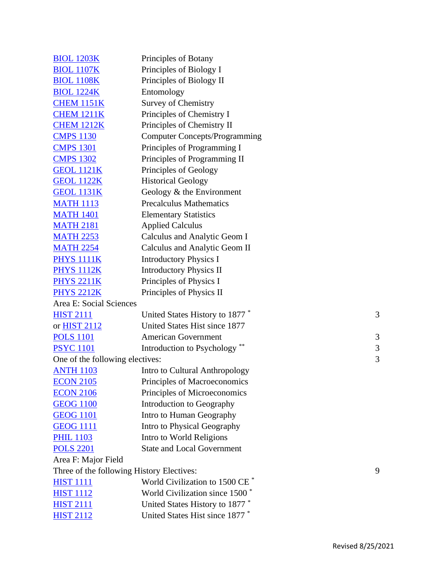| <b>BIOL 1203K</b>               | Principles of Botany                       |   |
|---------------------------------|--------------------------------------------|---|
| <b>BIOL 1107K</b>               | Principles of Biology I                    |   |
| <b>BIOL 1108K</b>               | Principles of Biology II                   |   |
| <b>BIOL 1224K</b>               | Entomology                                 |   |
| <b>CHEM 1151K</b>               | <b>Survey of Chemistry</b>                 |   |
| <b>CHEM 1211K</b>               | Principles of Chemistry I                  |   |
| <b>CHEM 1212K</b>               | Principles of Chemistry II                 |   |
| <b>CMPS 1130</b>                | <b>Computer Concepts/Programming</b>       |   |
| <b>CMPS 1301</b>                | Principles of Programming I                |   |
| <b>CMPS 1302</b>                | Principles of Programming II               |   |
| <b>GEOL 1121K</b>               | Principles of Geology                      |   |
| <b>GEOL 1122K</b>               | <b>Historical Geology</b>                  |   |
| <b>GEOL 1131K</b>               | Geology $&$ the Environment                |   |
| <b>MATH 1113</b>                | <b>Precalculus Mathematics</b>             |   |
| <b>MATH 1401</b>                | <b>Elementary Statistics</b>               |   |
| <b>MATH 2181</b>                | <b>Applied Calculus</b>                    |   |
| <b>MATH 2253</b>                | Calculus and Analytic Geom I               |   |
| <b>MATH 2254</b>                | Calculus and Analytic Geom II              |   |
| <b>PHYS 1111K</b>               | <b>Introductory Physics I</b>              |   |
| <b>PHYS 1112K</b>               | <b>Introductory Physics II</b>             |   |
| <b>PHYS 2211K</b>               | Principles of Physics I                    |   |
| <b>PHYS 2212K</b>               | Principles of Physics II                   |   |
| Area E: Social Sciences         |                                            |   |
| <b>HIST 2111</b>                | United States History to 1877*             | 3 |
| or <b>HIST 2112</b>             | United States Hist since 1877              |   |
| <b>POLS 1101</b>                | <b>American Government</b>                 | 3 |
| <b>PSYC</b> 1101                | Introduction to Psychology <sup>**</sup>   | 3 |
| One of the following electives: |                                            | 3 |
| <b>ANTH 1103</b>                | Intro to Cultural Anthropology             |   |
| <b>ECON 2105</b>                | Principles of Macroeconomics               |   |
| <b>ECON 2106</b>                | Principles of Microeconomics               |   |
| <b>GEOG 1100</b>                | Introduction to Geography                  |   |
| <b>GEOG 1101</b>                | Intro to Human Geography                   |   |
| <b>GEOG 1111</b>                | Intro to Physical Geography                |   |
| <b>PHIL 1103</b>                | Intro to World Religions                   |   |
| <b>POLS 2201</b>                | <b>State and Local Government</b>          |   |
| Area F: Major Field             |                                            |   |
|                                 | Three of the following History Electives:  | 9 |
| <b>HIST 1111</b>                | World Civilization to 1500 CE <sup>*</sup> |   |
| <b>HIST 1112</b>                | World Civilization since 1500 <sup>*</sup> |   |
| <b>HIST 2111</b>                | United States History to 1877 <sup>*</sup> |   |
| <b>HIST 2112</b>                | United States Hist since 1877 *            |   |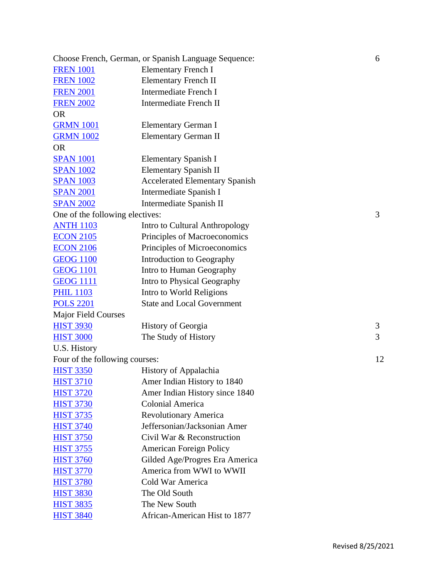|                                 | Choose French, German, or Spanish Language Sequence: | 6  |
|---------------------------------|------------------------------------------------------|----|
| <b>FREN 1001</b>                | <b>Elementary French I</b>                           |    |
| <b>FREN 1002</b>                | <b>Elementary French II</b>                          |    |
| <b>FREN 2001</b>                | <b>Intermediate French I</b>                         |    |
| <b>FREN 2002</b>                | <b>Intermediate French II</b>                        |    |
| <b>OR</b>                       |                                                      |    |
| <b>GRMN 1001</b>                | Elementary German I                                  |    |
| <b>GRMN 1002</b>                | Elementary German II                                 |    |
| <b>OR</b>                       |                                                      |    |
| <b>SPAN 1001</b>                | Elementary Spanish I                                 |    |
| <b>SPAN 1002</b>                | Elementary Spanish II                                |    |
| <b>SPAN 1003</b>                | <b>Accelerated Elementary Spanish</b>                |    |
| <b>SPAN 2001</b>                | Intermediate Spanish I                               |    |
| <b>SPAN 2002</b>                | Intermediate Spanish II                              |    |
| One of the following electives: |                                                      | 3  |
| <b>ANTH 1103</b>                | Intro to Cultural Anthropology                       |    |
| <b>ECON 2105</b>                | Principles of Macroeconomics                         |    |
| <b>ECON 2106</b>                | Principles of Microeconomics                         |    |
| <b>GEOG 1100</b>                | Introduction to Geography                            |    |
| <b>GEOG 1101</b>                | Intro to Human Geography                             |    |
| <b>GEOG 1111</b>                | Intro to Physical Geography                          |    |
| <b>PHIL 1103</b>                | Intro to World Religions                             |    |
| <b>POLS 2201</b>                | <b>State and Local Government</b>                    |    |
| <b>Major Field Courses</b>      |                                                      |    |
| <b>HIST 3930</b>                | <b>History of Georgia</b>                            | 3  |
| <b>HIST 3000</b>                | The Study of History                                 | 3  |
| U.S. History                    |                                                      |    |
| Four of the following courses:  |                                                      | 12 |
| <b>HIST 3350</b>                | History of Appalachia                                |    |
| <b>HIST 3710</b>                | Amer Indian History to 1840                          |    |
| <b>HIST 3720</b>                | Amer Indian History since 1840                       |    |
| <b>HIST 3730</b>                | <b>Colonial America</b>                              |    |
| <b>HIST 3735</b>                | <b>Revolutionary America</b>                         |    |
| <b>HIST 3740</b>                | Jeffersonian/Jacksonian Amer                         |    |
| <b>HIST 3750</b>                | Civil War & Reconstruction                           |    |
| <b>HIST 3755</b>                | <b>American Foreign Policy</b>                       |    |
| <b>HIST 3760</b>                | Gilded Age/Progres Era America                       |    |
| <b>HIST 3770</b>                | America from WWI to WWII                             |    |
| <b>HIST 3780</b>                | Cold War America                                     |    |
| <b>HIST 3830</b>                | The Old South                                        |    |
| <b>HIST 3835</b>                | The New South                                        |    |
| <b>HIST 3840</b>                | African-American Hist to 1877                        |    |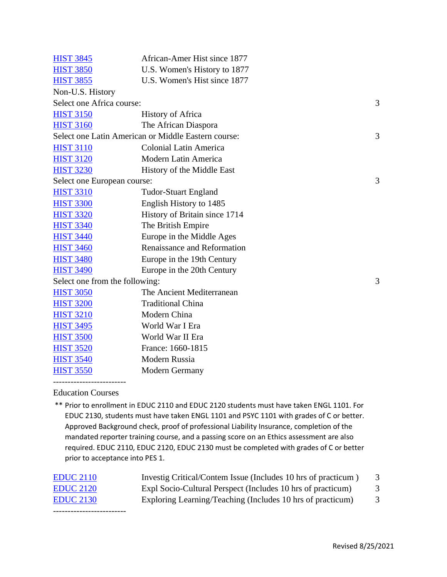| <b>HIST 3845</b>               | African-Amer Hist since 1877                        |   |
|--------------------------------|-----------------------------------------------------|---|
| <b>HIST 3850</b>               | U.S. Women's History to 1877                        |   |
| <b>HIST 3855</b>               | U.S. Women's Hist since 1877                        |   |
| Non-U.S. History               |                                                     |   |
| Select one Africa course:      |                                                     | 3 |
| <b>HIST 3150</b>               | <b>History of Africa</b>                            |   |
| <b>HIST 3160</b>               | The African Diaspora                                |   |
|                                | Select one Latin American or Middle Eastern course: | 3 |
| <b>HIST 3110</b>               | <b>Colonial Latin America</b>                       |   |
| <b>HIST 3120</b>               | Modern Latin America                                |   |
| <b>HIST 3230</b>               | History of the Middle East                          |   |
| Select one European course:    |                                                     | 3 |
| <b>HIST 3310</b>               | <b>Tudor-Stuart England</b>                         |   |
| <b>HIST 3300</b>               | English History to 1485                             |   |
| <b>HIST 3320</b>               | History of Britain since 1714                       |   |
| <b>HIST 3340</b>               | The British Empire                                  |   |
| <b>HIST 3440</b>               | Europe in the Middle Ages                           |   |
| <b>HIST 3460</b>               | Renaissance and Reformation                         |   |
| <b>HIST 3480</b>               | Europe in the 19th Century                          |   |
| <b>HIST 3490</b>               | Europe in the 20th Century                          |   |
| Select one from the following: |                                                     | 3 |
| <b>HIST 3050</b>               | The Ancient Mediterranean                           |   |
| <b>HIST 3200</b>               | <b>Traditional China</b>                            |   |
| <b>HIST 3210</b>               | Modern China                                        |   |
| <b>HIST 3495</b>               | World War I Era                                     |   |
| <b>HIST 3500</b>               | World War II Era                                    |   |
| <b>HIST 3520</b>               | France: 1660-1815                                   |   |
| <b>HIST 3540</b>               | Modern Russia                                       |   |
| <b>HIST 3550</b>               | <b>Modern Germany</b>                               |   |

Education Courses

-------------------------

\*\* Prior to enrollment in EDUC 2110 and EDUC 2120 students must have taken ENGL 1101. For EDUC 2130, students must have taken ENGL 1101 and PSYC 1101 with grades of C or better. Approved Background check, proof of professional Liability Insurance, completion of the mandated reporter training course, and a passing score on an Ethics assessment are also required. EDUC 2110, EDUC 2120, EDUC 2130 must be completed with grades of C or better prior to acceptance into PES 1.

| <b>EDUC 2110</b> | Investig Critical/Contem Issue (Includes 10 hrs of practicum) |   |
|------------------|---------------------------------------------------------------|---|
| <b>EDUC 2120</b> | Expl Socio-Cultural Perspect (Includes 10 hrs of practicum)   | 3 |
| <b>EDUC</b> 2130 | Exploring Learning/Teaching (Includes 10 hrs of practicum)    |   |
|                  |                                                               |   |